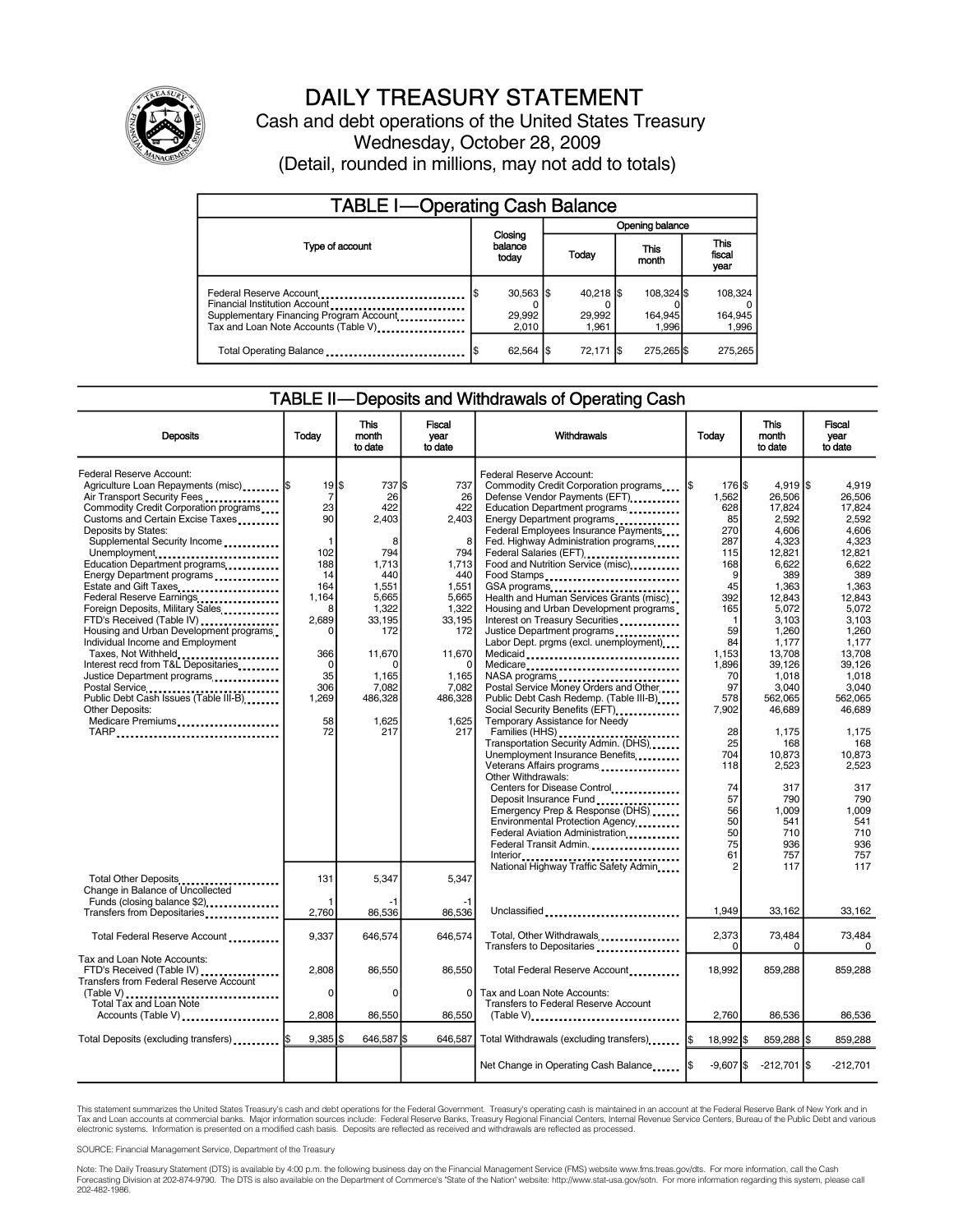

## DAILY TREASURY STATEMENT

Cash and debt operations of the United States Treasury Wednesday, October 28, 2009 (Detail, rounded in millions, may not add to totals)

| <b>TABLE I-Operating Cash Balance</b>                                                                                                       |  |                                           |                 |                                |  |                                |  |                               |  |  |
|---------------------------------------------------------------------------------------------------------------------------------------------|--|-------------------------------------------|-----------------|--------------------------------|--|--------------------------------|--|-------------------------------|--|--|
|                                                                                                                                             |  |                                           | Opening balance |                                |  |                                |  |                               |  |  |
| Type of account                                                                                                                             |  | Closing<br>balance<br>today               |                 | Today                          |  | This<br>month                  |  | <b>This</b><br>fiscal<br>year |  |  |
| Federal Reserve Account<br>Financial Institution Account<br>Supplementary Financing Program Account<br>Tax and Loan Note Accounts (Table V) |  | $30,563$ $\frac{1}{3}$<br>29,992<br>2.010 |                 | $40,218$ \$<br>29.992<br>1.961 |  | 108.324 \$<br>164,945<br>1.996 |  | 108,324<br>164,945<br>1,996   |  |  |
| Total Operating Balance                                                                                                                     |  | 62,564 \$                                 |                 | 72,171 \$                      |  | 275,265 \$                     |  | 275.265                       |  |  |

#### TABLE II—Deposits and Withdrawals of Operating Cash

| <b>Deposits</b>                                                                                                                                                                                                                                                                                                                                                                                                                                                                                                                                                                                                                                                                                                                         | Today                                                                                                                                                                       | <b>This</b><br>month<br>to date                                                                                                                                  | <b>Fiscal</b><br>year<br>to date                                                                                                                         | Withdrawals                                                                                                                                                                                                                                                                                                                                                                                                                                                                                                                                                                                                                                                                                                                                                                                                                                                                                                                                                                                                                                                | Today                                                                                                                                                                                                                        | <b>This</b><br>month<br>to date                                                                                                                                                                                                                                                            | <b>Fiscal</b><br>vear<br>to date                                                                                                                                                                                                                                                       |
|-----------------------------------------------------------------------------------------------------------------------------------------------------------------------------------------------------------------------------------------------------------------------------------------------------------------------------------------------------------------------------------------------------------------------------------------------------------------------------------------------------------------------------------------------------------------------------------------------------------------------------------------------------------------------------------------------------------------------------------------|-----------------------------------------------------------------------------------------------------------------------------------------------------------------------------|------------------------------------------------------------------------------------------------------------------------------------------------------------------|----------------------------------------------------------------------------------------------------------------------------------------------------------|------------------------------------------------------------------------------------------------------------------------------------------------------------------------------------------------------------------------------------------------------------------------------------------------------------------------------------------------------------------------------------------------------------------------------------------------------------------------------------------------------------------------------------------------------------------------------------------------------------------------------------------------------------------------------------------------------------------------------------------------------------------------------------------------------------------------------------------------------------------------------------------------------------------------------------------------------------------------------------------------------------------------------------------------------------|------------------------------------------------------------------------------------------------------------------------------------------------------------------------------------------------------------------------------|--------------------------------------------------------------------------------------------------------------------------------------------------------------------------------------------------------------------------------------------------------------------------------------------|----------------------------------------------------------------------------------------------------------------------------------------------------------------------------------------------------------------------------------------------------------------------------------------|
| Federal Reserve Account:<br>Agriculture Loan Repayments (misc)  \$<br>Air Transport Security Fees<br>Commodity Credit Corporation programs<br>Customs and Certain Excise Taxes<br>Deposits by States:<br>Supplemental Security Income<br>Unemployment<br>Education Department programs<br>Energy Department programs<br>Estate and Gift Taxes<br>Federal Reserve Earnings<br>Foreign Deposits, Military Sales<br>FTD's Received (Table IV)<br>Housing and Urban Development programs<br>Individual Income and Employment<br>Taxes, Not Withheld<br>Interest recd from T&L Depositaries<br>Justice Department programs<br>Postal Service<br>Public Debt Cash Issues (Table III-B)<br><b>Other Deposits:</b><br>Medicare Premiums<br>TARP | $19$ $\frac{1}{3}$<br>$\overline{7}$<br>23<br>90<br>1<br>102<br>188<br>14<br>164<br>1,164<br>8<br>2,689<br>$\Omega$<br>366<br>$\mathbf 0$<br>35<br>306<br>1,269<br>58<br>72 | 737 \$<br>26<br>422<br>2,403<br>8<br>794<br>1.713<br>440<br>1,551<br>5,665<br>1,322<br>33,195<br>172<br>11,670<br>n<br>1,165<br>7,082<br>486.328<br>1.625<br>217 | 737<br>26<br>422<br>2,403<br>8<br>794<br>1,713<br>440<br>1,551<br>5,665<br>1,322<br>33,195<br>172<br>11,670<br>1,165<br>7,082<br>486,328<br>1.625<br>217 | Federal Reserve Account:<br>Commodity Credit Corporation programs<br>Defense Vendor Payments (EFT)<br>Education Department programs<br>Energy Department programs<br>Federal Employees Insurance Payments<br>Fed. Highway Administration programs<br>Federal Salaries (EFT)<br>Food and Nutrition Service (misc).<br>Food Stamps<br>GSA programs<br>Health and Human Services Grants (misc)<br>Housing and Urban Development programs<br>Interest on Treasury Securities<br>Justice Department programs<br>Labor Dept. prgms (excl. unemployment)<br>Medicaid<br>Medicare<br>Postal Service Money Orders and Other<br>Public Debt Cash Redemp. (Table III-B)<br>Social Security Benefits (EFT)<br>Temporary Assistance for Needy<br>Transportation Security Admin. (DHS)<br>Unemployment Insurance Benefits<br>Veterans Affairs programs<br>Other Withdrawals:<br>Centers for Disease Control<br>Deposit Insurance Fund<br>Emergency Prep & Response (DHS)<br>Environmental Protection Agency<br>Federal Aviation Administration<br>Federal Transit Admin. | 176 \$<br>I\$<br>1.562<br>628<br>85<br>270<br>287<br>115<br>168<br>9<br>45<br>392<br>165<br>-1<br>59<br>84<br>1,153<br>1,896<br>70<br>97<br>578<br>7,902<br>28<br>25<br>704<br>118<br>74<br>57<br>56<br>50<br>50<br>75<br>61 | $4.919$ S<br>26.506<br>17,824<br>2,592<br>4,606<br>4,323<br>12,821<br>6.622<br>389<br>1,363<br>12,843<br>5,072<br>3,103<br>1,260<br>1.177<br>13,708<br>39,126<br>1,018<br>3,040<br>562.065<br>46.689<br>1,175<br>168<br>10.873<br>2,523<br>317<br>790<br>1,009<br>541<br>710<br>936<br>757 | 4.919<br>26.506<br>17,824<br>2,592<br>4.606<br>4,323<br>12.821<br>6.622<br>389<br>1,363<br>12,843<br>5.072<br>3.103<br>1.260<br>1.177<br>13,708<br>39,126<br>1,018<br>3,040<br>562.065<br>46.689<br>1,175<br>168<br>10.873<br>2,523<br>317<br>790<br>1.009<br>541<br>710<br>936<br>757 |
| Total Other Deposits<br>Change in Balance of Uncollected<br>Funds (closing balance \$2)                                                                                                                                                                                                                                                                                                                                                                                                                                                                                                                                                                                                                                                 | 131                                                                                                                                                                         | 5,347<br>-1                                                                                                                                                      | 5.347<br>$-1$                                                                                                                                            | National Highway Traffic Safety Admin                                                                                                                                                                                                                                                                                                                                                                                                                                                                                                                                                                                                                                                                                                                                                                                                                                                                                                                                                                                                                      |                                                                                                                                                                                                                              | 117                                                                                                                                                                                                                                                                                        | 117                                                                                                                                                                                                                                                                                    |
| Transfers from Depositaries                                                                                                                                                                                                                                                                                                                                                                                                                                                                                                                                                                                                                                                                                                             | 2,760                                                                                                                                                                       | 86,536                                                                                                                                                           | 86,536                                                                                                                                                   | Unclassified                                                                                                                                                                                                                                                                                                                                                                                                                                                                                                                                                                                                                                                                                                                                                                                                                                                                                                                                                                                                                                               | 1.949                                                                                                                                                                                                                        | 33,162                                                                                                                                                                                                                                                                                     | 33,162                                                                                                                                                                                                                                                                                 |
| Total Federal Reserve Account                                                                                                                                                                                                                                                                                                                                                                                                                                                                                                                                                                                                                                                                                                           | 9,337                                                                                                                                                                       | 646,574                                                                                                                                                          | 646,574                                                                                                                                                  | Total, Other Withdrawals<br>Transfers to Depositaries                                                                                                                                                                                                                                                                                                                                                                                                                                                                                                                                                                                                                                                                                                                                                                                                                                                                                                                                                                                                      | 2,373<br>$\Omega$                                                                                                                                                                                                            | 73,484<br>$\Omega$                                                                                                                                                                                                                                                                         | 73,484<br>$\Omega$                                                                                                                                                                                                                                                                     |
| Tax and Loan Note Accounts:<br>FTD's Received (Table IV)<br><b>Transfers from Federal Reserve Account</b><br>$(Table V)$                                                                                                                                                                                                                                                                                                                                                                                                                                                                                                                                                                                                                | 2.808<br>0                                                                                                                                                                  | 86,550<br>$\Omega$                                                                                                                                               | 86,550<br>$\Omega$                                                                                                                                       | Total Federal Reserve Account<br>Tax and Loan Note Accounts:                                                                                                                                                                                                                                                                                                                                                                                                                                                                                                                                                                                                                                                                                                                                                                                                                                                                                                                                                                                               | 18.992                                                                                                                                                                                                                       | 859.288                                                                                                                                                                                                                                                                                    | 859.288                                                                                                                                                                                                                                                                                |
| Total Tax and Loan Note<br>Accounts (Table V)                                                                                                                                                                                                                                                                                                                                                                                                                                                                                                                                                                                                                                                                                           | 2,808                                                                                                                                                                       | 86,550                                                                                                                                                           | 86,550                                                                                                                                                   | Transfers to Federal Reserve Account                                                                                                                                                                                                                                                                                                                                                                                                                                                                                                                                                                                                                                                                                                                                                                                                                                                                                                                                                                                                                       | 2,760                                                                                                                                                                                                                        | 86,536                                                                                                                                                                                                                                                                                     | 86,536                                                                                                                                                                                                                                                                                 |
| Total Deposits (excluding transfers)  \$                                                                                                                                                                                                                                                                                                                                                                                                                                                                                                                                                                                                                                                                                                | $9.385$ S                                                                                                                                                                   | 646,587 \$                                                                                                                                                       | 646.587                                                                                                                                                  | Total Withdrawals (excluding transfers) [\$                                                                                                                                                                                                                                                                                                                                                                                                                                                                                                                                                                                                                                                                                                                                                                                                                                                                                                                                                                                                                | 18,992 \$                                                                                                                                                                                                                    | 859,288 \$                                                                                                                                                                                                                                                                                 | 859,288                                                                                                                                                                                                                                                                                |
|                                                                                                                                                                                                                                                                                                                                                                                                                                                                                                                                                                                                                                                                                                                                         |                                                                                                                                                                             |                                                                                                                                                                  |                                                                                                                                                          | Net Change in Operating Cash Balance                                                                                                                                                                                                                                                                                                                                                                                                                                                                                                                                                                                                                                                                                                                                                                                                                                                                                                                                                                                                                       | $-9.607$ S                                                                                                                                                                                                                   | $-212,701$ \$                                                                                                                                                                                                                                                                              | $-212,701$                                                                                                                                                                                                                                                                             |

This statement summarizes the United States Treasury's cash and debt operations for the Federal Government. Treasury's operating cash is maintained in an account at the Federal Reserve Bank of New York and in Tax and Loan accounts at commercial banks. Major information sources include: Federal Reserve Banks, Treasury Regional Financial Centers, Internal Revenue Service Centers, Bureau of the Public Debt and various<br>electronic s

SOURCE: Financial Management Service, Department of the Treasury

Note: The Daily Treasury Statement (DTS) is available by 4:00 p.m. the following business day on the Financial Management Service (FMS) website www.fms.treas.gov/dts. For more information, call the Cash<br>Forecasting Divisio 202-482-1986.